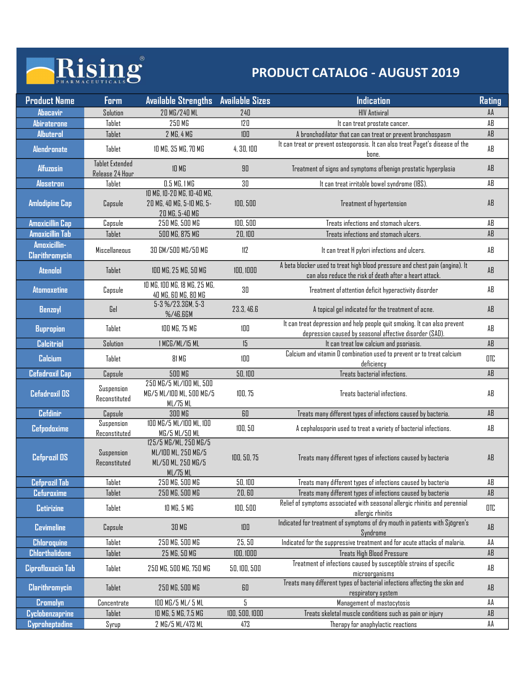### Rising<sup>®</sup> h

| <b>Form</b>                 | <b>Available Strengths</b>                                                                     | <b>Available Sizes</b>                                                                                                                                                                                                                                                         | <b>Indication</b>                                                                                | <b>Rating</b>                                                                                                                                                                                                                                                                                                                                                                                                                                                                                                                                                                                                                                                                                                                                                                                                                                                                              |  |
|-----------------------------|------------------------------------------------------------------------------------------------|--------------------------------------------------------------------------------------------------------------------------------------------------------------------------------------------------------------------------------------------------------------------------------|--------------------------------------------------------------------------------------------------|--------------------------------------------------------------------------------------------------------------------------------------------------------------------------------------------------------------------------------------------------------------------------------------------------------------------------------------------------------------------------------------------------------------------------------------------------------------------------------------------------------------------------------------------------------------------------------------------------------------------------------------------------------------------------------------------------------------------------------------------------------------------------------------------------------------------------------------------------------------------------------------------|--|
| Solution                    | 20 MG/240 ML                                                                                   | 240                                                                                                                                                                                                                                                                            | <b>HIV Antiviral</b>                                                                             | AA                                                                                                                                                                                                                                                                                                                                                                                                                                                                                                                                                                                                                                                                                                                                                                                                                                                                                         |  |
| Tablet                      | 250 MG                                                                                         | 120                                                                                                                                                                                                                                                                            | It can treat prostate cancer.                                                                    | AB                                                                                                                                                                                                                                                                                                                                                                                                                                                                                                                                                                                                                                                                                                                                                                                                                                                                                         |  |
| Tablet                      |                                                                                                | 100                                                                                                                                                                                                                                                                            | A bronchodilator that can can treat or prevent bronchospasm                                      | AB                                                                                                                                                                                                                                                                                                                                                                                                                                                                                                                                                                                                                                                                                                                                                                                                                                                                                         |  |
| Tablet                      | 10 MG, 35 MG, 70 MG                                                                            | 4, 30, 100                                                                                                                                                                                                                                                                     | bone.                                                                                            | AB                                                                                                                                                                                                                                                                                                                                                                                                                                                                                                                                                                                                                                                                                                                                                                                                                                                                                         |  |
| <b>Tablet Extended</b>      |                                                                                                |                                                                                                                                                                                                                                                                                |                                                                                                  | AB                                                                                                                                                                                                                                                                                                                                                                                                                                                                                                                                                                                                                                                                                                                                                                                                                                                                                         |  |
| Release 24 Hour             |                                                                                                |                                                                                                                                                                                                                                                                                |                                                                                                  | AB                                                                                                                                                                                                                                                                                                                                                                                                                                                                                                                                                                                                                                                                                                                                                                                                                                                                                         |  |
|                             |                                                                                                |                                                                                                                                                                                                                                                                                |                                                                                                  |                                                                                                                                                                                                                                                                                                                                                                                                                                                                                                                                                                                                                                                                                                                                                                                                                                                                                            |  |
| Capsule                     | 20 MG, 40 MG, 5-10 MG, 5-<br>20 MG, 5-40 MG                                                    | 100,500                                                                                                                                                                                                                                                                        | Treatment of hypertension                                                                        | AB                                                                                                                                                                                                                                                                                                                                                                                                                                                                                                                                                                                                                                                                                                                                                                                                                                                                                         |  |
| Capsule                     | 250 MG, 500 MG                                                                                 | 100,500                                                                                                                                                                                                                                                                        | Treats infections and stomach ulcers.                                                            | AB                                                                                                                                                                                                                                                                                                                                                                                                                                                                                                                                                                                                                                                                                                                                                                                                                                                                                         |  |
| Tablet                      |                                                                                                |                                                                                                                                                                                                                                                                                |                                                                                                  | AB                                                                                                                                                                                                                                                                                                                                                                                                                                                                                                                                                                                                                                                                                                                                                                                                                                                                                         |  |
| Miscellaneous               | 30 GM/500 MG/50 MG                                                                             | 112                                                                                                                                                                                                                                                                            | It can treat H pylori infections and ulcers.                                                     | AB                                                                                                                                                                                                                                                                                                                                                                                                                                                                                                                                                                                                                                                                                                                                                                                                                                                                                         |  |
|                             |                                                                                                |                                                                                                                                                                                                                                                                                | can also reduce the risk of death after a heart attack.                                          | $\mathsf{AB}$                                                                                                                                                                                                                                                                                                                                                                                                                                                                                                                                                                                                                                                                                                                                                                                                                                                                              |  |
| Capsule                     | 10 MG, 100 MG, 18 MG, 25 MG,<br>40 MG, 60 MG, 80 MG                                            | 30                                                                                                                                                                                                                                                                             | Treatment of attention deficit hyperactivity disorder                                            | AB                                                                                                                                                                                                                                                                                                                                                                                                                                                                                                                                                                                                                                                                                                                                                                                                                                                                                         |  |
| Gel                         | %/46.6GM                                                                                       | 23.3, 46.6                                                                                                                                                                                                                                                                     | A topical gel indicated for the treatment of acne.                                               | AB                                                                                                                                                                                                                                                                                                                                                                                                                                                                                                                                                                                                                                                                                                                                                                                                                                                                                         |  |
| Tablet                      | 100 MG, 75 MG                                                                                  | 100                                                                                                                                                                                                                                                                            |                                                                                                  | AB                                                                                                                                                                                                                                                                                                                                                                                                                                                                                                                                                                                                                                                                                                                                                                                                                                                                                         |  |
| Solution                    | 1 MCG/ML/15 ML                                                                                 | 15                                                                                                                                                                                                                                                                             | It can treat low calcium and psoriasis.                                                          | $\mathsf{AB}$                                                                                                                                                                                                                                                                                                                                                                                                                                                                                                                                                                                                                                                                                                                                                                                                                                                                              |  |
| Tablet                      | 81 MG                                                                                          | 100                                                                                                                                                                                                                                                                            |                                                                                                  | OTC                                                                                                                                                                                                                                                                                                                                                                                                                                                                                                                                                                                                                                                                                                                                                                                                                                                                                        |  |
| Capsule                     | <b>500 MG</b>                                                                                  | 50,100                                                                                                                                                                                                                                                                         | Treats bacterial infections.                                                                     | $\mathsf{AB}$                                                                                                                                                                                                                                                                                                                                                                                                                                                                                                                                                                                                                                                                                                                                                                                                                                                                              |  |
| Suspension<br>Reconstituted | 250 MG/5 ML/100 ML, 500<br>MG/5 ML/IOO ML, 500 MG/5                                            | 100,75                                                                                                                                                                                                                                                                         | Treats bacterial infections.                                                                     | AB                                                                                                                                                                                                                                                                                                                                                                                                                                                                                                                                                                                                                                                                                                                                                                                                                                                                                         |  |
| Capsule                     | 300 MG                                                                                         | 60                                                                                                                                                                                                                                                                             | Treats many different types of infections caused by bacteria.                                    | $\mathsf{AB}$                                                                                                                                                                                                                                                                                                                                                                                                                                                                                                                                                                                                                                                                                                                                                                                                                                                                              |  |
| Suspension                  | 100 MG/5 ML/100 ML, 100                                                                        | 100, 50                                                                                                                                                                                                                                                                        | A cephalosporin used to treat a variety of bacterial infections.                                 | AB                                                                                                                                                                                                                                                                                                                                                                                                                                                                                                                                                                                                                                                                                                                                                                                                                                                                                         |  |
| Suspension                  | 125/5 MG/ML, 250 MG/5<br>ML/IOO ML, 250 MG/5                                                   |                                                                                                                                                                                                                                                                                |                                                                                                  | AB                                                                                                                                                                                                                                                                                                                                                                                                                                                                                                                                                                                                                                                                                                                                                                                                                                                                                         |  |
| Reconstituted               | ML/75 ML                                                                                       |                                                                                                                                                                                                                                                                                |                                                                                                  |                                                                                                                                                                                                                                                                                                                                                                                                                                                                                                                                                                                                                                                                                                                                                                                                                                                                                            |  |
|                             |                                                                                                |                                                                                                                                                                                                                                                                                |                                                                                                  | AB<br>$\mathsf{AB}$                                                                                                                                                                                                                                                                                                                                                                                                                                                                                                                                                                                                                                                                                                                                                                                                                                                                        |  |
|                             |                                                                                                |                                                                                                                                                                                                                                                                                | Relief of symptoms associated with seasonal allergic rhinitis and perennial                      |                                                                                                                                                                                                                                                                                                                                                                                                                                                                                                                                                                                                                                                                                                                                                                                                                                                                                            |  |
|                             | 30 MG                                                                                          | $100\,$                                                                                                                                                                                                                                                                        | allergic rhinitis<br>Indicated for treatment of symptoms of dry mouth in patients with Sjögren's | $_{\rm OTC}$<br>$\mathsf{AB}$                                                                                                                                                                                                                                                                                                                                                                                                                                                                                                                                                                                                                                                                                                                                                                                                                                                              |  |
|                             |                                                                                                |                                                                                                                                                                                                                                                                                |                                                                                                  | AA                                                                                                                                                                                                                                                                                                                                                                                                                                                                                                                                                                                                                                                                                                                                                                                                                                                                                         |  |
|                             | 25 MG, 50 MG                                                                                   | 100, 1000                                                                                                                                                                                                                                                                      | Treats High Blood Pressure                                                                       | $\mathsf{AB}$                                                                                                                                                                                                                                                                                                                                                                                                                                                                                                                                                                                                                                                                                                                                                                                                                                                                              |  |
| Tablet                      | 250 MG, 500 MG, 750 MG                                                                         | 50, 100, 500                                                                                                                                                                                                                                                                   | Treatment of infections caused by susceptible strains of specific<br>microorganisms              | AB                                                                                                                                                                                                                                                                                                                                                                                                                                                                                                                                                                                                                                                                                                                                                                                                                                                                                         |  |
| Tablet                      | 250 MG, 500 MG                                                                                 | 60                                                                                                                                                                                                                                                                             | Treats many different types of bacterial infections affecting the skin and                       | $\mathsf{AB}$                                                                                                                                                                                                                                                                                                                                                                                                                                                                                                                                                                                                                                                                                                                                                                                                                                                                              |  |
|                             | 100 MG/5 ML/ 5 ML                                                                              | 5                                                                                                                                                                                                                                                                              | respiratory system<br>Management of mastocytosis                                                 | AA                                                                                                                                                                                                                                                                                                                                                                                                                                                                                                                                                                                                                                                                                                                                                                                                                                                                                         |  |
| Concentrate                 |                                                                                                |                                                                                                                                                                                                                                                                                |                                                                                                  |                                                                                                                                                                                                                                                                                                                                                                                                                                                                                                                                                                                                                                                                                                                                                                                                                                                                                            |  |
| Tablet                      | 10 MG, 5 MG, 7.5 MG                                                                            | 100, 500, 1000                                                                                                                                                                                                                                                                 | Treats skeletal muscle conditions such as pain or injury                                         | $\mathsf{A}\mathsf{B}$                                                                                                                                                                                                                                                                                                                                                                                                                                                                                                                                                                                                                                                                                                                                                                                                                                                                     |  |
|                             | Tablet<br>Tablet<br>Reconstituted<br>Tablet<br>Tablet<br>Tablet<br>Capsule<br>Tablet<br>Tablet | Rising<br>2 MG, 4 MG<br>$10\ \mathrm{MS}$<br>0.5 MG, 1 MG<br>10 MG, 10-20 MG, 10-40 MG,<br>500 MG, 875 MG<br>100 MG, 25 MG, 50 MG<br>5-3 %/23.3GM, 5-3<br>ML/75 ML<br>MG/5 ML/50 ML<br>ML/50 ML, 250 MG/5<br>250 MG, 500 MG<br>250 MG, 500 MG<br>10 MG, 5 MG<br>250 MG, 500 MG | $90\,$<br>30<br>20,100<br>100, 1000<br>100, 50, 75<br>50,100<br>20,60<br>100,500<br>25, 50       | <b>PRODUCT CATALOG - AUGUST 2019</b><br>It can treat or prevent osteoporosis. It can also treat Paget's disease of the<br>Treatment of signs and symptoms of benign prostatic hyperplasia<br>It can treat irritable bowel syndrome (IBS).<br>Treats infections and stomach ulcers.<br>A beta blocker used to treat high blood pressure and chest pain (angina). It<br>It can treat depression and help people quit smoking. It can also prevent<br>depression caused by seasonal affective disorder (SAD).<br>Calcium and vitamin D combination used to prevent or to treat calcium<br>deficiency<br>Treats many different types of infections caused by bacteria<br>Treats many different types of infections caused by bacteria<br>Treats many different types of infections caused by bacteria<br>Syndrome<br>Indicated for the suppressive treatment and for acute attacks of malaria. |  |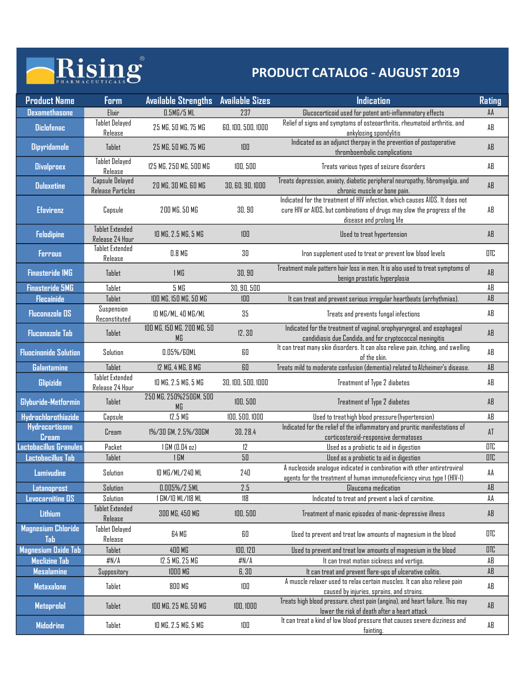## Rising®

|                                             | Rising                                    |                                  |                        | <b>PRODUCT CATALOG - AUGUST 2019</b>                                                                                                                                                 |                        |
|---------------------------------------------|-------------------------------------------|----------------------------------|------------------------|--------------------------------------------------------------------------------------------------------------------------------------------------------------------------------------|------------------------|
| <b>Product Name</b>                         | <b>Form</b>                               | <b>Available Strengths</b>       | <b>Available Sizes</b> | <b>Indication</b>                                                                                                                                                                    | <b>Rating</b>          |
| <b>Dexamethasone</b>                        | Elixir                                    | 0.5M <sub>G</sub> /5ML           | 237                    | Glucocorticoid used for potent anti-inflammatory effects                                                                                                                             | AA                     |
| <b>Diclofenac</b>                           | <b>Tablet Delayed</b><br>Release          | 25 MG, 50 MG, 75 MG              | 60, 100, 500, 1000     | Relief of signs and symptoms of osteoarthritis, rheumatoid arthritis, and<br>ankylosing spondylitis                                                                                  | AB                     |
| <b>Dipyridamole</b>                         | Tablet                                    | 25 MG, 50 MG, 75 MG              | 100                    | Indicated as an adjunct therpay in the prevention of postoperative                                                                                                                   | AB                     |
|                                             | <b>Tablet Delayed</b>                     |                                  |                        | thromboembolic complications                                                                                                                                                         |                        |
| <b>Divalproex</b>                           | Release                                   | 125 MG, 250 MG, 500 MG           | 100,500                | Treats various types of seizure disorders                                                                                                                                            | AB                     |
| <b>Duloxetine</b>                           | Capsule Delayed<br>Release Particles      | 20 MG, 30 MG, 60 MG              | 30, 60, 90, 1000       | Treats depression, anxiety, diabetic peripheral neuropathy, fibromyalgia, and<br>chronic muscle or bone pain.                                                                        | AB                     |
| <b>Efavirenz</b>                            | Capsule                                   | 200 MG, 50 MG                    | 30, 90                 | Indicated for the treatment of HIV infection, which causes AIDS. It does not<br>cure HIV or AIDS, but combinations of drugs may slow the progress of the<br>disease and prolong life | AB                     |
| <b>Felodipine</b>                           | <b>Tablet Extended</b>                    | 10 MG, 2.5 MG, 5 MG              | 100                    | Used to treat hypertension                                                                                                                                                           | AB                     |
| <b>Ferrous</b>                              | Release 24 Hour<br><b>Tablet Extended</b> | 0.8 <sub>M</sub>                 | 30                     | Iron supplement used to treat or prevent low blood levels                                                                                                                            | OTC                    |
|                                             | Release                                   |                                  |                        | Treatment male pattern hair loss in men. It is also used to treat symptoms of                                                                                                        |                        |
| <b>Finasteride 1MG</b>                      | Tablet                                    | 1 <sub>M</sub>                   | 30, 90                 | benign prostatic hyperplasia                                                                                                                                                         | AB                     |
| <b>Finasteride 5MG</b><br><b>Flecainide</b> | Tablet<br>Tablet                          | 5 MG<br>IOD MG, ISO MG, 50 MG    | 30, 90, 500<br>$100\,$ | It can treat and prevent serious irregular heartbeats (arrhythmias).                                                                                                                 | AB<br>AB               |
| <b>Fluconazole OS</b>                       | Suspension                                | ID MG/ML, 40 MG/ML               | $35\,$                 | Treats and prevents fungal infections                                                                                                                                                | AB                     |
| <b>Fluconazole Tab</b>                      | Reconstituted<br>Tablet                   | 100 MG, 150 MG, 200 MG, 50<br>МG | 12,30                  | Indicated for the treatment of vaginal, orophyaryngeal, and esophageal<br>candidiasis due Candida, and for cryptococcal meningitis                                                   | $\mathsf{AB}$          |
| <b>Fluocinonide Solution</b>                | Solution                                  | 0.05%/60ML                       | 60                     | It can treat many skin disorders. It can also relieve pain, itching, and swelling                                                                                                    | $\mathsf{A}\mathsf{B}$ |
| <b>Galantamine</b>                          | Tablet                                    | 12 MG, 4 MG, 8 MG                | ${\bf 60}$             | of the skin.<br>Treats mild to moderate confusion (dementia) related to Alzheimer's disease.                                                                                         | $\mathsf{AB}$          |
| <b>Glipizide</b>                            | <b>Tablet Extended</b><br>Release 24 Hour | 10 MG, 2.5 MG, 5 MG              | 30, 100, 500, 1000     | Treatment of Type 2 diabetes                                                                                                                                                         | AB                     |
| Glyburide-Metformin                         | Tablet                                    | 250 MG, 250%250GM, 500           | 100, 500               | Treatment of Type 2 diabetes                                                                                                                                                         | AB                     |
| Hydrochlorothiazide                         | Capsule                                   | MG<br>12.5 <sub>M</sub>          | 100, 500, 1000         | Used to treathigh blood pressure (hypertension)                                                                                                                                      | AB                     |
| <b>Hydrocortisone</b>                       | Cream                                     | 1%/30 GM, 2.5%/30GM              | 30, 28.4               | Indicated for the relief of the inflammatory and pruritic manifestations of                                                                                                          | AT                     |
| <b>Cream</b><br>Lactobacillus Granules      | Packet                                    | 1 GM (0.04 oz)                   | 12                     | corticosteroid-responsive dermatoses<br>Used as a probiotic to aid in digestion                                                                                                      | OTC                    |
| Lactobacillus Tab                           | Tablet                                    | 1 GM                             | $50\,$                 | Used as a probiotic to aid in digestion                                                                                                                                              | OTC                    |
| <b>Lamivudine</b>                           | Solution                                  | 10 MG/ML/240 ML                  | 240                    | A nucleoside analogue indicated in combination with other antiretroviral<br>agents for the treatment of human immunodeficiency virus type 1 (HIV-1)                                  | AA                     |
| Latanoprost                                 | Solution                                  | $0.005\%/2.5$ ML                 | 2.5                    | Glaucoma medication                                                                                                                                                                  | $\mathsf{A}\mathsf{B}$ |
| Levocarnitine OS                            | Solution<br>Tablet Extended               | 1 GM/10 ML/118 ML                | 118                    | Indicated to treat and prevent a lack of carnitine.                                                                                                                                  | AA                     |
| Lithium                                     | Release                                   | 300 MG, 450 MG                   | 100, 500               | Treatment of manic episodes of manic-depressive illness                                                                                                                              | AB                     |
| <b>Magnesium Chloride</b><br>Tab            | <b>Tablet Delayed</b><br>Release          | 64 MG                            | 60                     | Used to prevent and treat low amounts of magnesium in the blood                                                                                                                      | OTC                    |
| Magnesium Oxide Tab                         | Tablet                                    | 400 MG                           | 100, 120               | Used to prevent and treat low amounts of magnesium in the blood                                                                                                                      | $_{\rm OTC}$           |
| <b>Meclizine Tab</b><br><b>Mesalamine</b>   | #N/A<br>Suppository                       | 12.5 MG, 25 MG<br><b>1000 MG</b> | #N/A<br>6,30           | It can treat motion sickness and vertigo.<br>It can treat and prevent flare-ups of ulcerative colitis.                                                                               | AB<br>AB               |
| <b>Metaxalone</b>                           | Tablet                                    | 800 MG                           | 100                    | A muscle relaxer used to relax certain muscles. It can also relieve pain                                                                                                             | $\mathsf{A}\mathsf{B}$ |
| Metoprolol                                  | Tablet                                    | 100 MG, 25 MG, 50 MG             | 100, 1000              | caused by injuries, sprains, and strains.<br>Treats high blood pressure, chest pain (angina), and heart failure. This may<br>lower the risk of death after a heart attack            | $\mathsf{A}\mathsf{B}$ |
| <b>Midodrine</b>                            | Tablet                                    | 10 MG, 2.5 MG, 5 MG              | 100                    | It can treat a kind of low blood pressure that causes severe dizziness and                                                                                                           | AB                     |
|                                             |                                           |                                  |                        | fainting.                                                                                                                                                                            |                        |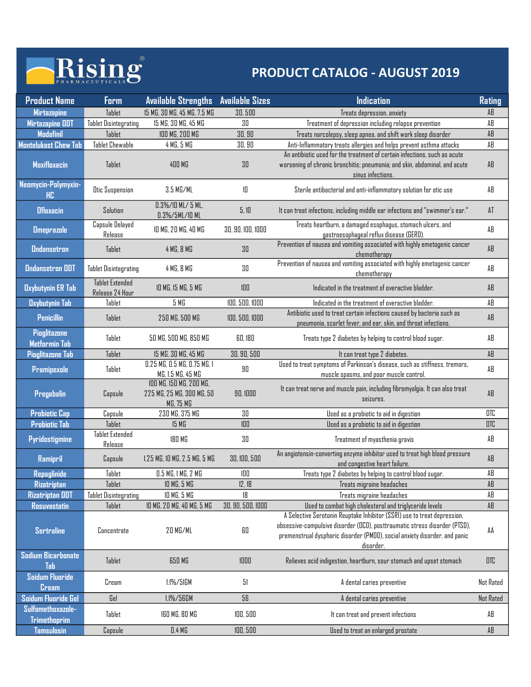## Rising

| Rising<br><b>PRODUCT CATALOG - AUGUST 2019</b> |                                                        |                                                                   |                        |                                                                                                                                                                                                                                                   |                     |
|------------------------------------------------|--------------------------------------------------------|-------------------------------------------------------------------|------------------------|---------------------------------------------------------------------------------------------------------------------------------------------------------------------------------------------------------------------------------------------------|---------------------|
|                                                |                                                        |                                                                   |                        |                                                                                                                                                                                                                                                   |                     |
| <b>Product Name</b>                            | Form                                                   | <b>Available Strengths</b>                                        | <b>Available Sizes</b> | <b>Indication</b>                                                                                                                                                                                                                                 | <b>Rating</b>       |
| <b>Mirtazapine</b><br><b>Mirtazapine ODT</b>   | Tablet<br><b>Tablet Disintegrating</b>                 | 15 MG, 30 MG, 45 MG, 7.5 MG<br>15 MG, 30 MG, 45 MG                | 30,500<br>30           | Treats depression, anxiety                                                                                                                                                                                                                        | AB<br>AB            |
| <b>Modafinil</b>                               | Tablet                                                 | 100 MG, 200 MG                                                    | 30, 90                 | Treatment of depression including relapse prevention<br>Treats narcolepsy, sleep apnea, and shift work sleep disorder                                                                                                                             | AB                  |
| Montelukast Chew Tab                           | <b>Tablet Chewable</b>                                 | 4 MG, 5 MG                                                        | 30, 90                 | Anti-Inflammatory treats allergies and helps prevent asthma attacks                                                                                                                                                                               | AB                  |
| <b>Moxifloxacin</b>                            | Tablet                                                 | 400 MG                                                            | 30                     | An antibiotic used for the treatment of certain infections, such as acute<br>worsening of chronic bronchitis; pneumonia; and skin, abdominal, and acute<br>sinus infections.                                                                      | AB                  |
| Neomycin-Polymyxin-<br><b>HC</b>               | <b>Otic Suspension</b>                                 | 3.5 MG/ML                                                         | 10                     | Sterile antibacterial and anti-inflammatory solution for otic use                                                                                                                                                                                 | AB                  |
| <b>Ofloxacin</b>                               | Solution                                               | $0.3\%/10$ ML/ 5 ML,<br>0.3%/5ML/10 ML                            | 5,10                   | It can treat infections, including middle ear infections and "swimmer's ear."                                                                                                                                                                     | AT                  |
| <b>Omeprazole</b>                              | Capsule Delayed<br>Release                             | IO MG, 20 MG, 40 MG                                               | 30, 90, 100, 1000      | Treats heartburn, a damaged esophagus, stomach ulcers, and<br>gastroesophageal reflux disease (GERD).                                                                                                                                             | AB                  |
| <b>Ondansetron</b>                             | <b>Tablet</b>                                          | 4 MG, 8 MG                                                        | 30                     | Prevention of nausea and vomiting associated with highly emetogenic cancer<br>chemotherapy                                                                                                                                                        | AB                  |
| <b>Ondansetron ODT</b>                         | <b>Tablet Disintegrating</b><br><b>Tablet Extended</b> | 4 MG, 8 MG                                                        | 30                     | Prevention of nausea and vomiting associated with highly emetogenic cancer<br>chemotherapy                                                                                                                                                        | AB                  |
| <b>Oxybutynin ER Tab</b>                       | Release 24 Hour                                        | ID MG, IS MG, 5 MG                                                | $100\,$                | Indicated in the treatment of overactive bladder.                                                                                                                                                                                                 | $\mathsf{AB}$       |
| <b>Oxybutynin Tab</b>                          | Tablet                                                 | 5M <sub>0</sub>                                                   | 100, 500, 1000         | Indicated in the treatment of overactive bladder.                                                                                                                                                                                                 | AB                  |
| <b>Penicillin</b><br><b>Pioglitazone</b>       | Tablet                                                 | 250 MG, 500 MG                                                    | 100, 500, 1000         | Antibiotic used to treat certain infections caused by bacteria such as<br>pneumonia, scarlet fever, and ear, skin, and throat infections.                                                                                                         | AB                  |
| Metformin Tab                                  | Tablet                                                 | 50 MG, 500 MG, 850 MG                                             | 60,180                 | Treats type 2 diabetes by helping to control blood sugar.                                                                                                                                                                                         | AB                  |
| Pioglitazone Tab                               | Tablet                                                 | 15 MG, 30 MG, 45 MG                                               | 30, 90, 500            | It can treat type 2 diabetes.                                                                                                                                                                                                                     | AB                  |
| Pramipexole                                    | Tablet                                                 | 0.25 MG, 0.5 MG, 0.75 MG, 1<br>MG, 1.5 MG, 45 MG                  | 90                     | Used to treat symptoms of Parkinson's disease, such as stiffness, tremors,<br>muscle spasms, and poor muscle control.                                                                                                                             | AB                  |
| Pregabalin                                     | Capsule                                                | 100 MG, 150 MG, 200 MG,<br>225 MG, 25 MG, 300 MG, 50<br>MG, 75 MG | 90, 1000               | It can treat nerve and muscle pain, including fibromyalgia. It can also treat<br>seizures.                                                                                                                                                        | AB                  |
| <b>Probiotic Cap</b>                           | Capsule                                                | 230 MG, 375 MG                                                    | 30                     | Used as a probiotic to aid in digestion                                                                                                                                                                                                           | OTC                 |
| <b>Probiotic Tab</b>                           | Tablet                                                 | 15 MG                                                             | $100\,$                | Used as a probiotic to aid in digestion                                                                                                                                                                                                           | OTC                 |
| Pyridostigmine                                 | Tablet Extended<br>Release                             | 180 MG                                                            | 30                     | Treatment of myasthenia gravis                                                                                                                                                                                                                    | AB                  |
| Ramipril<br><b>Repaglinide</b>                 | Capsule<br>Tablet                                      | 1.25 MG, 10 MG, 2.5 MG, 5 MG<br>0.5 MG, 1 MG, 2 MG                | 30, 100, 500<br>100    | An angiotensin-converting enzyme inhibitor used to treat high blood pressure<br>and congestive heart failure.<br>Treats type 2 diabetes by helping to control blood sugar.                                                                        | $\mathsf{AB}$<br>AB |
| Rizatriptan                                    | Tablet                                                 | 10 MG, 5 MG                                                       | 12,18                  | Treats migraine headaches                                                                                                                                                                                                                         | AB                  |
| <b>Rizatriptan ODT</b>                         | Tablet Disintegrating                                  | 10 MG, 5 MG                                                       | 18                     | Treats migraine headaches                                                                                                                                                                                                                         | AB                  |
| <b>Rosuvastatin</b>                            | Tablet                                                 | 10 MG, 20 MG, 40 MG, 5 MG                                         | 30, 90, 500, 1000      | Used to combat high cholesterol and triglyceride levels                                                                                                                                                                                           | $\mathsf{AB}$       |
| <b>Sertraline</b>                              | Concentrate                                            | 20 MG/ML                                                          | 60                     | A Selective Serotonin Reuptake Inhibitor (SSRI) use to treat depression,<br>obsessive-compulsive disorder (OCD), posttraumatic stress disorder (PTSD),<br>premenstrual dysphoric disorder (PMDD), social anxiety disorder, and panic<br>disorder. | AA                  |
| <b>Sodium Bicarbonate</b><br>Tab               | Tablet                                                 | 650 MG                                                            | $1000$                 | Relieves acid indigestion, heartburn, sour stomach and upset stomach                                                                                                                                                                              | OTC                 |
| Soidum Fluoride<br><b>Cream</b>                | Cream                                                  | 1.1%/51GM                                                         | 51                     | A dental caries preventive                                                                                                                                                                                                                        | Not Rated           |
| Soidum Fluoride Gel                            | Gel                                                    | 1.1%/56GM                                                         | 56                     | A dental caries preventive                                                                                                                                                                                                                        | Not Rated           |
| Sulfamethoxazole-<br><b>Trimethoprim</b>       | Tablet                                                 | 160 MG, 80 MG                                                     | 100,500                | It can treat and prevent infections                                                                                                                                                                                                               | AB                  |
|                                                | Capsule                                                | 0.4 M                                                             | 100,500                | Used to treat an enlarged prostate                                                                                                                                                                                                                | AB                  |